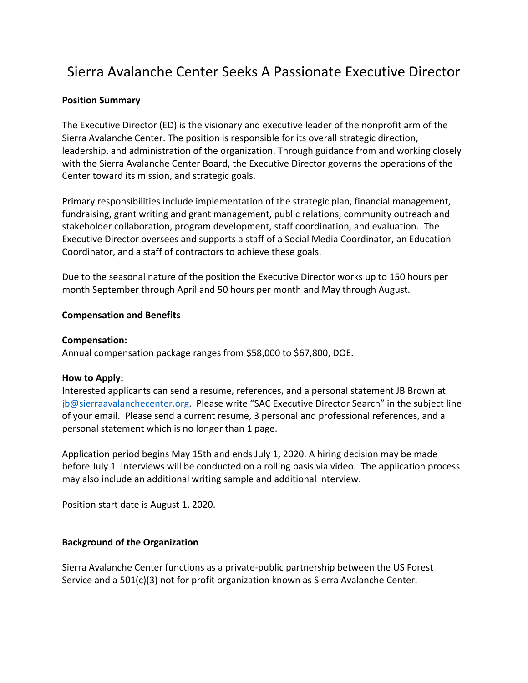# Sierra Avalanche Center Seeks A Passionate Executive Director

#### **Position Summary**

The Executive Director (ED) is the visionary and executive leader of the nonprofit arm of the Sierra Avalanche Center. The position is responsible for its overall strategic direction, leadership, and administration of the organization. Through guidance from and working closely with the Sierra Avalanche Center Board, the Executive Director governs the operations of the Center toward its mission, and strategic goals.

Primary responsibilities include implementation of the strategic plan, financial management, fundraising, grant writing and grant management, public relations, community outreach and stakeholder collaboration, program development, staff coordination, and evaluation. The Executive Director oversees and supports a staff of a Social Media Coordinator, an Education Coordinator, and a staff of contractors to achieve these goals.

Due to the seasonal nature of the position the Executive Director works up to 150 hours per month September through April and 50 hours per month and May through August.

#### **Compensation and Benefits**

#### **Compensation:**

Annual compensation package ranges from \$58,000 to \$67,800, DOE.

#### **How to Apply:**

Interested applicants can send a resume, references, and a personal statement JB Brown at [jb@sierraavalanchecenter.org.](mailto:jb@sierraavalanchecenter.org) Please write "SAC Executive Director Search" in the subject line of your email. Please send a current resume, 3 personal and professional references, and a personal statement which is no longer than 1 page.

Application period begins May 15th and ends July 1, 2020. A hiring decision may be made before July 1. Interviews will be conducted on a rolling basis via video. The application process may also include an additional writing sample and additional interview.

Position start date is August 1, 2020.

#### **Background of the Organization**

Sierra Avalanche Center functions as a private-public partnership between the US Forest Service and a 501(c)(3) not for profit organization known as Sierra Avalanche Center.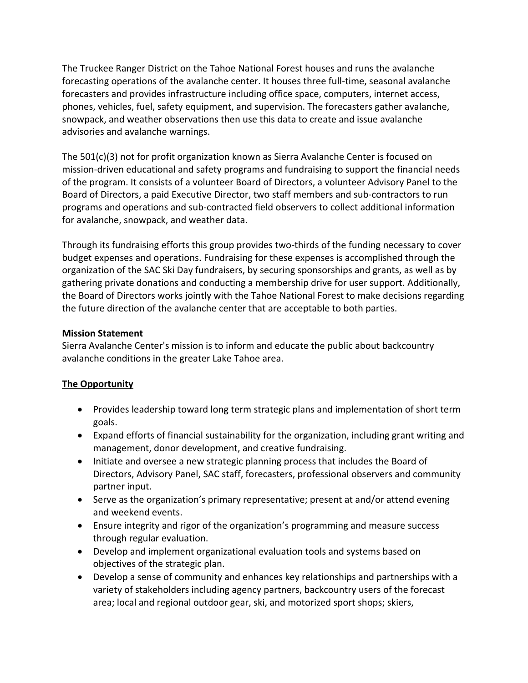The Truckee Ranger District on the Tahoe National Forest houses and runs the avalanche forecasting operations of the avalanche center. It houses three full-time, seasonal avalanche forecasters and provides infrastructure including office space, computers, internet access, phones, vehicles, fuel, safety equipment, and supervision. The forecasters gather avalanche, snowpack, and weather observations then use this data to create and issue avalanche advisories and avalanche warnings.

The 501(c)(3) not for profit organization known as Sierra Avalanche Center is focused on mission-driven educational and safety programs and fundraising to support the financial needs of the program. It consists of a volunteer Board of Directors, a volunteer Advisory Panel to the Board of Directors, a paid Executive Director, two staff members and sub-contractors to run programs and operations and sub-contracted field observers to collect additional information for avalanche, snowpack, and weather data.

Through its fundraising efforts this group provides two-thirds of the funding necessary to cover budget expenses and operations. Fundraising for these expenses is accomplished through the organization of the SAC Ski Day fundraisers, by securing sponsorships and grants, as well as by gathering private donations and conducting a membership drive for user support. Additionally, the Board of Directors works jointly with the Tahoe National Forest to make decisions regarding the future direction of the avalanche center that are acceptable to both parties.

#### **Mission Statement**

Sierra Avalanche Center's mission is to inform and educate the public about backcountry avalanche conditions in the greater Lake Tahoe area.

### **The Opportunity**

- Provides leadership toward long term strategic plans and implementation of short term goals.
- Expand efforts of financial sustainability for the organization, including grant writing and management, donor development, and creative fundraising.
- Initiate and oversee a new strategic planning process that includes the Board of Directors, Advisory Panel, SAC staff, forecasters, professional observers and community partner input.
- Serve as the organization's primary representative; present at and/or attend evening and weekend events.
- Ensure integrity and rigor of the organization's programming and measure success through regular evaluation.
- Develop and implement organizational evaluation tools and systems based on objectives of the strategic plan.
- Develop a sense of community and enhances key relationships and partnerships with a variety of stakeholders including agency partners, backcountry users of the forecast area; local and regional outdoor gear, ski, and motorized sport shops; skiers,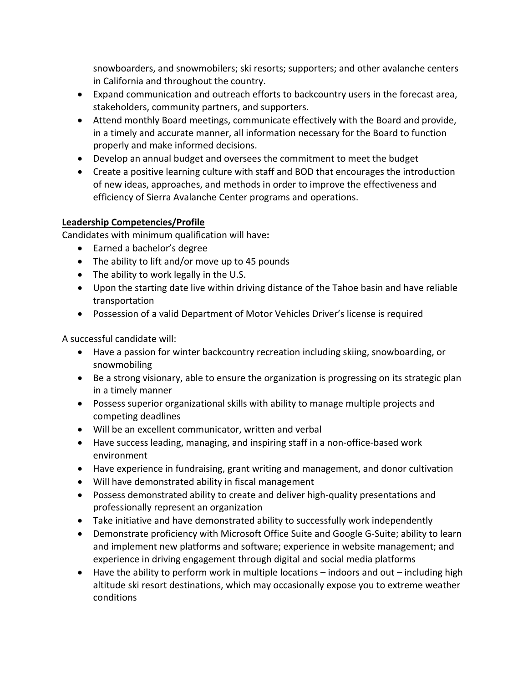snowboarders, and snowmobilers; ski resorts; supporters; and other avalanche centers in California and throughout the country.

- Expand communication and outreach efforts to backcountry users in the forecast area, stakeholders, community partners, and supporters.
- Attend monthly Board meetings, communicate effectively with the Board and provide, in a timely and accurate manner, all information necessary for the Board to function properly and make informed decisions.
- Develop an annual budget and oversees the commitment to meet the budget
- Create a positive learning culture with staff and BOD that encourages the introduction of new ideas, approaches, and methods in order to improve the effectiveness and efficiency of Sierra Avalanche Center programs and operations.

## **Leadership Competencies/Profile**

Candidates with minimum qualification will have**:**

- Earned a bachelor's degree
- The ability to lift and/or move up to 45 pounds
- The ability to work legally in the U.S.
- Upon the starting date live within driving distance of the Tahoe basin and have reliable transportation
- Possession of a valid Department of Motor Vehicles Driver's license is required

A successful candidate will:

- Have a passion for winter backcountry recreation including skiing, snowboarding, or snowmobiling
- Be a strong visionary, able to ensure the organization is progressing on its strategic plan in a timely manner
- Possess superior organizational skills with ability to manage multiple projects and competing deadlines
- Will be an excellent communicator, written and verbal
- Have success leading, managing, and inspiring staff in a non-office-based work environment
- Have experience in fundraising, grant writing and management, and donor cultivation
- Will have demonstrated ability in fiscal management
- Possess demonstrated ability to create and deliver high-quality presentations and professionally represent an organization
- Take initiative and have demonstrated ability to successfully work independently
- Demonstrate proficiency with Microsoft Office Suite and Google G-Suite; ability to learn and implement new platforms and software; experience in website management; and experience in driving engagement through digital and social media platforms
- Have the ability to perform work in multiple locations indoors and out including high altitude ski resort destinations, which may occasionally expose you to extreme weather conditions